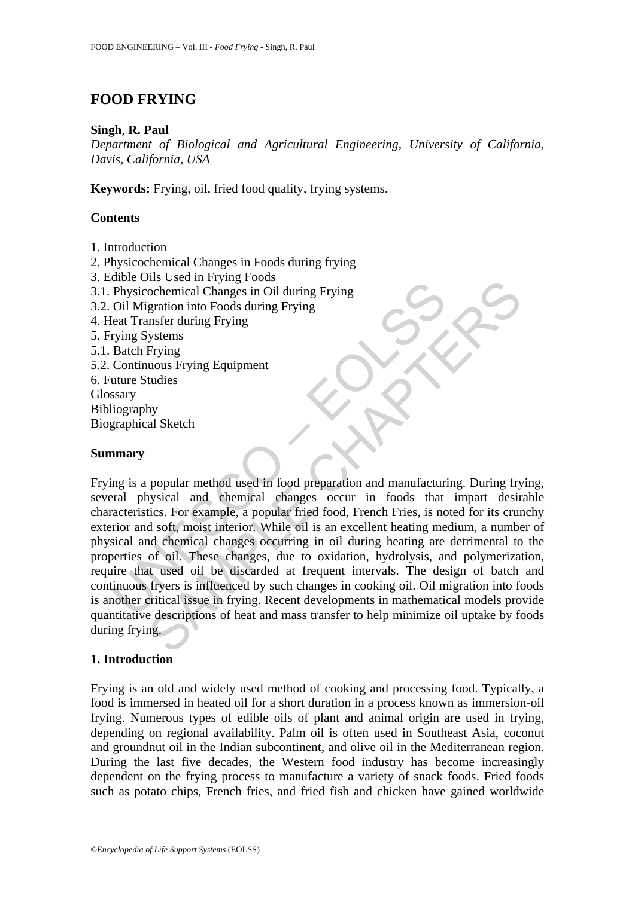# **FOOD FRYING**

#### **Singh**, **R. Paul**

*Department of Biological and Agricultural Engineering, University of California, Davis, California, USA* 

**Keywords:** Frying, oil, fried food quality, frying systems.

### **Contents**

- 1. Introduction
- 2. Physicochemical Changes in Foods during frying
- 3. Edible Oils Used in Frying Foods
- 3.1. Physicochemical Changes in Oil during Frying
- 3.2. Oil Migration into Foods during Frying
- 4. Heat Transfer during Frying
- 5. Frying Systems
- 5.1. Batch Frying
- 5.2. Continuous Frying Equipment
- 6. Future Studies Glossary
- Bibliography
- Biographical Sketch

#### **Summary**

The University Containing From Physicochemical Changes in Oil during Frying<br>
Oil Migration into Foods during Frying<br>
Coli Migration into Foods during Frying<br>
Eleat Transfer during Frying<br>
Exach Frying Systems<br>
Batch Frying In Social Intervigy Foods<br>
ochemical Changes in Oil during Frying<br>
gration into Foods during Frying<br>
gration into Foods during Frying<br>
suster during Frying<br>
suster during Frying<br>
Frying<br>
Leving<br>
Frying<br>
suster during Fryin Frying is a popular method used in food preparation and manufacturing. During frying, several physical and chemical changes occur in foods that impart desirable characteristics. For example, a popular fried food, French Fries, is noted for its crunchy exterior and soft, moist interior. While oil is an excellent heating medium, a number of physical and chemical changes occurring in oil during heating are detrimental to the properties of oil. These changes, due to oxidation, hydrolysis, and polymerization, require that used oil be discarded at frequent intervals. The design of batch and continuous fryers is influenced by such changes in cooking oil. Oil migration into foods is another critical issue in frying. Recent developments in mathematical models provide quantitative descriptions of heat and mass transfer to help minimize oil uptake by foods during frying.

### **1. Introduction**

Frying is an old and widely used method of cooking and processing food. Typically, a food is immersed in heated oil for a short duration in a process known as immersion-oil frying. Numerous types of edible oils of plant and animal origin are used in frying, depending on regional availability. Palm oil is often used in Southeast Asia, coconut and groundnut oil in the Indian subcontinent, and olive oil in the Mediterranean region. During the last five decades, the Western food industry has become increasingly dependent on the frying process to manufacture a variety of snack foods. Fried foods such as potato chips, French fries, and fried fish and chicken have gained worldwide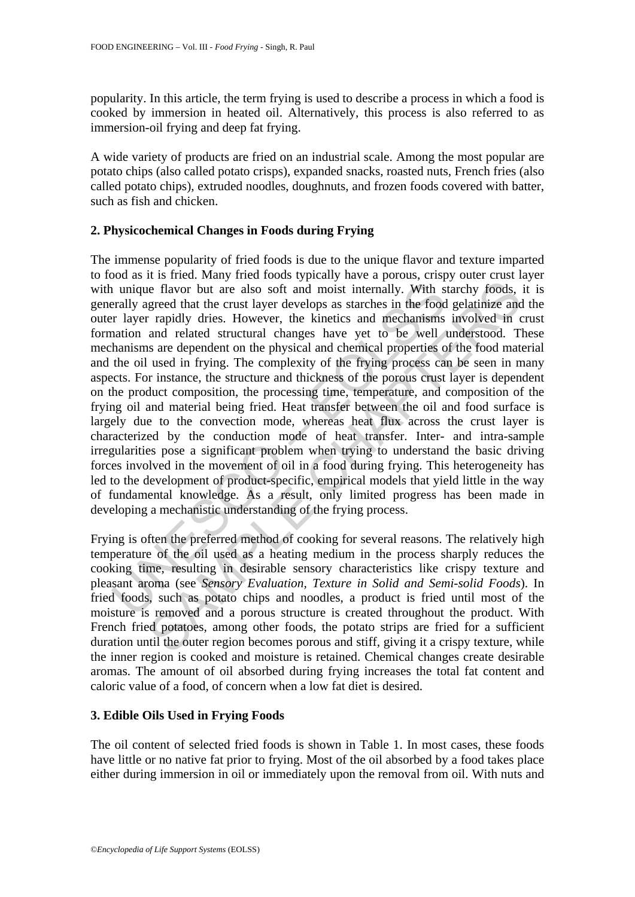popularity. In this article, the term frying is used to describe a process in which a food is cooked by immersion in heated oil. Alternatively, this process is also referred to as immersion-oil frying and deep fat frying.

A wide variety of products are fried on an industrial scale. Among the most popular are potato chips (also called potato crisps), expanded snacks, roasted nuts, French fries (also called potato chips), extruded noodles, doughnuts, and frozen foods covered with batter, such as fish and chicken.

#### **2. Physicochemical Changes in Foods during Frying**

1 unique flavor but are also soft and moist internally. With s<br>rally agreed that the crust layer develops as starches in the food<br>r I ayer rapidly dries. However, the kinetics and mechanisms<br>ation and related structural ch ie e flavor but are also soft and moist internally. With starchy foods, greed that the crust layer develops as starches in the food gelatinize and related structural changes have yet to be well understood. The similar rapi The immense popularity of fried foods is due to the unique flavor and texture imparted to food as it is fried. Many fried foods typically have a porous, crispy outer crust layer with unique flavor but are also soft and moist internally. With starchy foods, it is generally agreed that the crust layer develops as starches in the food gelatinize and the outer layer rapidly dries. However, the kinetics and mechanisms involved in crust formation and related structural changes have yet to be well understood. These mechanisms are dependent on the physical and chemical properties of the food material and the oil used in frying. The complexity of the frying process can be seen in many aspects. For instance, the structure and thickness of the porous crust layer is dependent on the product composition, the processing time, temperature, and composition of the frying oil and material being fried. Heat transfer between the oil and food surface is largely due to the convection mode, whereas heat flux across the crust layer is characterized by the conduction mode of heat transfer. Inter- and intra-sample irregularities pose a significant problem when trying to understand the basic driving forces involved in the movement of oil in a food during frying. This heterogeneity has led to the development of product-specific, empirical models that yield little in the way of fundamental knowledge. As a result, only limited progress has been made in developing a mechanistic understanding of the frying process.

Frying is often the preferred method of cooking for several reasons. The relatively high temperature of the oil used as a heating medium in the process sharply reduces the cooking time, resulting in desirable sensory characteristics like crispy texture and pleasant aroma (see *Sensory Evaluation, Texture in Solid and Semi-solid Foods*). In fried foods, such as potato chips and noodles, a product is fried until most of the moisture is removed and a porous structure is created throughout the product. With French fried potatoes, among other foods, the potato strips are fried for a sufficient duration until the outer region becomes porous and stiff, giving it a crispy texture, while the inner region is cooked and moisture is retained. Chemical changes create desirable aromas. The amount of oil absorbed during frying increases the total fat content and caloric value of a food, of concern when a low fat diet is desired.

#### **3. Edible Oils Used in Frying Foods**

The oil content of selected fried foods is shown in Table 1. In most cases, these foods have little or no native fat prior to frying. Most of the oil absorbed by a food takes place either during immersion in oil or immediately upon the removal from oil. With nuts and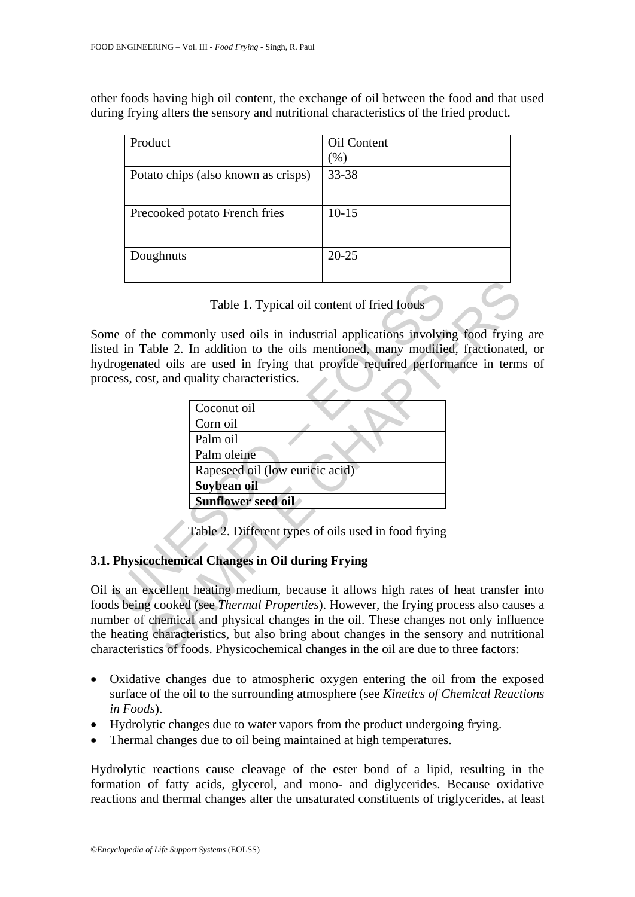other foods having high oil content, the exchange of oil between the food and that used during frying alters the sensory and nutritional characteristics of the fried product.

| Product                             | Oil Content |
|-------------------------------------|-------------|
|                                     | $(\%)$      |
| Potato chips (also known as crisps) | 33-38       |
|                                     |             |
| Precooked potato French fries       | $10 - 15$   |
|                                     |             |
|                                     | $20 - 25$   |
|                                     |             |
| Doughnuts                           |             |

Some of the commonly used oils in industrial applications involving food frying are listed in Table 2. In addition to the oils mentioned, many modified, fractionated, or hydrogenated oils are used in frying that provide required performance in terms of process, cost, and quality characteristics.

| Table 1. Typical oil content of fried foods                                             |  |  |
|-----------------------------------------------------------------------------------------|--|--|
|                                                                                         |  |  |
| the commonly used oils in industrial applications involving food frying                 |  |  |
| d in Table 2. In addition to the oils mentioned, many modified, fractionated            |  |  |
| rogenated oils are used in frying that provide required performance in term             |  |  |
| cess, cost, and quality characteristics.                                                |  |  |
|                                                                                         |  |  |
| Coconut oil                                                                             |  |  |
| Corn oil                                                                                |  |  |
| Palm oil                                                                                |  |  |
| Palm oleine                                                                             |  |  |
| Rapeseed oil (low euricic acid)                                                         |  |  |
| Soybean oil                                                                             |  |  |
| <b>Sunflower seed oil</b>                                                               |  |  |
|                                                                                         |  |  |
| Table 2. Different types of oils used in food frying                                    |  |  |
|                                                                                         |  |  |
| <b>Physicochemical Changes in Oil during Frying</b>                                     |  |  |
|                                                                                         |  |  |
| is an excellent heating medium, because it allows high rates of heat transfer           |  |  |
| Is being cooked (see <i>Thermal Properties</i> ). However, the frying process also caus |  |  |
| aber of chemical and physical changes in the oil. These changes not only influe         |  |  |
| heating characteristics, but also bring about changes in the sensory and nutriti-       |  |  |
| acteristics of foods. Physicochemical changes in the oil are due to three factors:      |  |  |

## **3.1. Physicochemical Changes in Oil during Frying**

Oil is an excellent heating medium, because it allows high rates of heat transfer into foods being cooked (see *Thermal Properties*). However, the frying process also causes a number of chemical and physical changes in the oil. These changes not only influence the heating characteristics, but also bring about changes in the sensory and nutritional characteristics of foods. Physicochemical changes in the oil are due to three factors:

- Oxidative changes due to atmospheric oxygen entering the oil from the exposed surface of the oil to the surrounding atmosphere (see *Kinetics of Chemical Reactions in Foods*).
- Hydrolytic changes due to water vapors from the product undergoing frying.
- Thermal changes due to oil being maintained at high temperatures.

Hydrolytic reactions cause cleavage of the ester bond of a lipid, resulting in the formation of fatty acids, glycerol, and mono- and diglycerides. Because oxidative reactions and thermal changes alter the unsaturated constituents of triglycerides, at least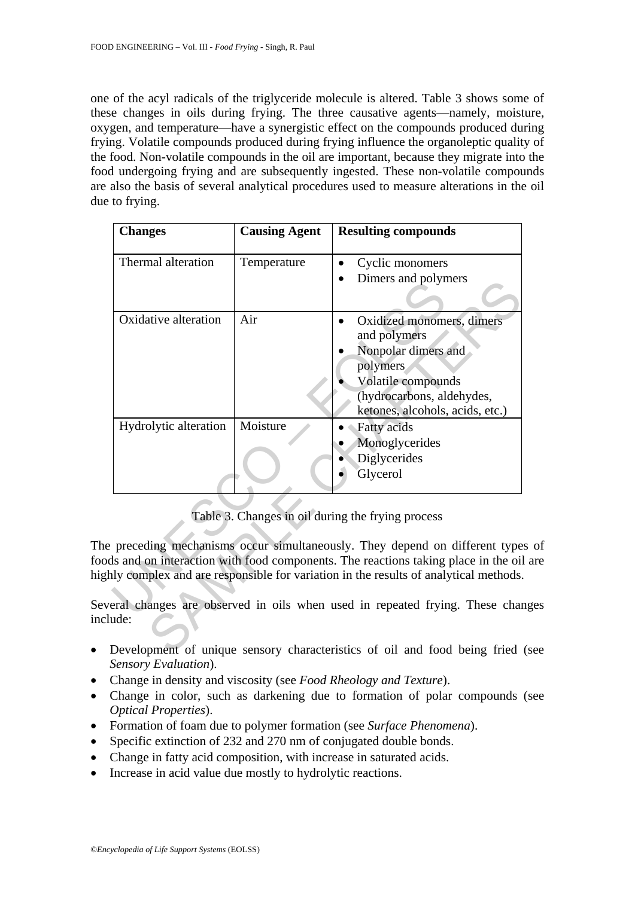one of the acyl radicals of the triglyceride molecule is altered. Table 3 shows some of these changes in oils during frying. The three causative agents—namely, moisture, oxygen, and temperature—have a synergistic effect on the compounds produced during frying. Volatile compounds produced during frying influence the organoleptic quality of the food. Non-volatile compounds in the oil are important, because they migrate into the food undergoing frying and are subsequently ingested. These non-volatile compounds are also the basis of several analytical procedures used to measure alterations in the oil due to frying.

| <b>Changes</b>                                                                                                                                                | <b>Causing Agent</b> | <b>Resulting compounds</b>                                                         |
|---------------------------------------------------------------------------------------------------------------------------------------------------------------|----------------------|------------------------------------------------------------------------------------|
| Thermal alteration                                                                                                                                            | Temperature          | Cyclic monomers<br>Dimers and polymers                                             |
|                                                                                                                                                               |                      |                                                                                    |
| Oxidative alteration                                                                                                                                          | Air                  | Oxidized monomers, dimers<br>and polymers                                          |
|                                                                                                                                                               |                      | Nonpolar dimers and                                                                |
|                                                                                                                                                               |                      | polymers                                                                           |
|                                                                                                                                                               |                      | Volatile compounds                                                                 |
|                                                                                                                                                               |                      | (hydrocarbons, aldehydes,                                                          |
|                                                                                                                                                               |                      | ketones, alcohols, acids, etc.)                                                    |
| Hydrolytic alteration                                                                                                                                         | Moisture             | Fatty acids                                                                        |
|                                                                                                                                                               |                      | Monoglycerides                                                                     |
|                                                                                                                                                               |                      | Diglycerides                                                                       |
|                                                                                                                                                               |                      | Glycerol                                                                           |
|                                                                                                                                                               |                      |                                                                                    |
| Table 3. Changes in oil during the frying process                                                                                                             |                      |                                                                                    |
| preceding mechanisms occur simultaneously. They depend on different type<br>Is and on interaction with food components. The reactions taking place in the oil |                      |                                                                                    |
|                                                                                                                                                               |                      | ly complex and are responsible for variation in the results of analytical methods. |
| ude:                                                                                                                                                          |                      | eral changes are observed in oils when used in repeated frying. These chan         |
|                                                                                                                                                               |                      | Development of unique sensory characteristics of oil and food being fried          |

Table 3. Changes in oil during the frying process

The preceding mechanisms occur simultaneously. They depend on different types of foods and on interaction with food components. The reactions taking place in the oil are highly complex and are responsible for variation in the results of analytical methods.

Several changes are observed in oils when used in repeated frying. These changes include:

- Development of unique sensory characteristics of oil and food being fried (see *Sensory Evaluation*).
- Change in density and viscosity (see *Food Rheology and Texture*).
- Change in color, such as darkening due to formation of polar compounds (see *Optical Properties*).
- Formation of foam due to polymer formation (see *Surface Phenomena*).
- Specific extinction of 232 and 270 nm of conjugated double bonds.
- Change in fatty acid composition, with increase in saturated acids.
- Increase in acid value due mostly to hydrolytic reactions.